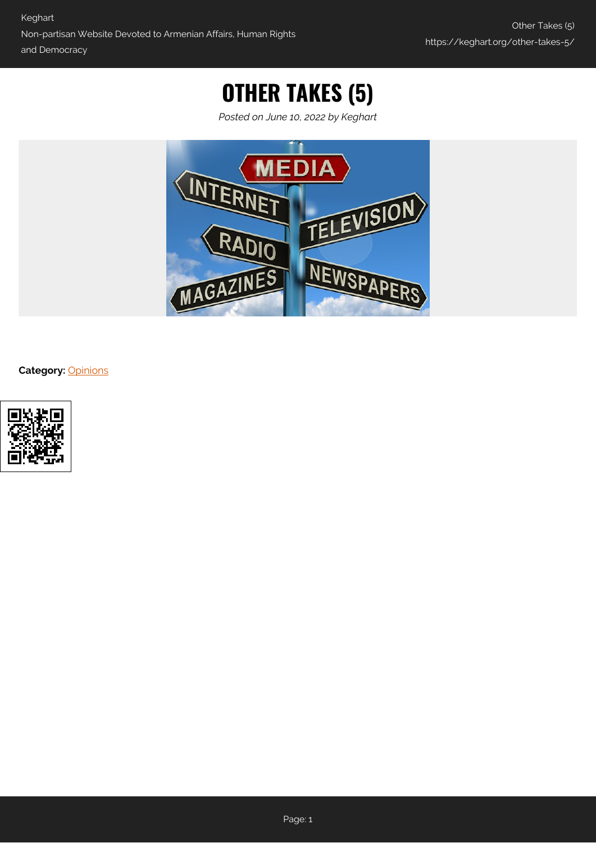# **OTHER TAKES (5)**

*Posted on June 10, 2022 by Keghart*



#### **Category:** [Opinions](https://keghart.org/category/opinions/)

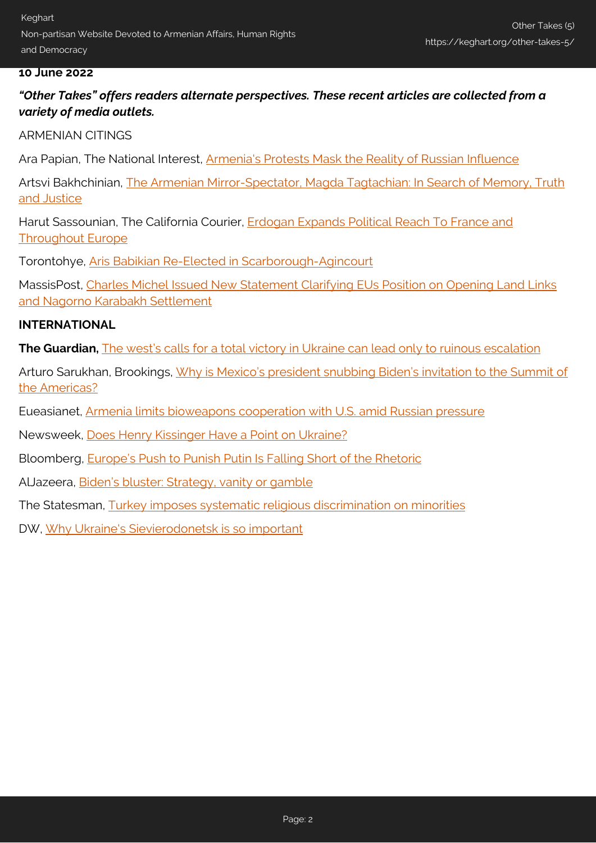### **10 June 2022**

*"Other Takes" offers readers alternate perspectives. These recent articles are collected from a variety of media outlets.*

### ARMENIAN CITINGS

Ara Papian, The National Interest, [Armenia's Protests Mask the Reality of Russian Influence](https://nationalinterest.org/blog/buzz/armenias-protests-mask-reality-russian-influence-202845)

Artsvi Bakhchinian, [The Armenian Mirror-Spectator, Magda Tagtachian: In Search of Memory, Truth](https://mirrorspectator.com/2022/05/26/magda-tagtachian-in-search-of-memory-truth-and-justice/) [and Justice](https://mirrorspectator.com/2022/05/26/magda-tagtachian-in-search-of-memory-truth-and-justice/)

Harut Sassounian, The California Courier, [Erdogan Expands Political Reach To France and](https://www.thecaliforniacourier.com/erdogan-expands-political-reach-to-france-and-throughout-europe/) [Throughout Europe](https://www.thecaliforniacourier.com/erdogan-expands-political-reach-to-france-and-throughout-europe/)

Torontohye, [Aris Babikian Re-Elected in Scarborough-Agincourt](https://torontohye.ca/pc-aris-babikian-is-re-elected-in-scarborough-agincourt/)

MassisPost, [Charles Michel Issued New Statement Clarifying EUs Position on Opening Land Links](https://massispost.com/2022/06/charles-michel-issued-new-statement-clarifying-eus-position-on-opening-land-links-and-nagorno-karabakh-settlement/) [and Nagorno Karabakh Settlement](https://massispost.com/2022/06/charles-michel-issued-new-statement-clarifying-eus-position-on-opening-land-links-and-nagorno-karabakh-settlement/)

### **INTERNATIONAL**

**The Guardian,** [The west's calls for a total victory in Ukraine can lead only to ruinous escalation](https://www.theguardian.com/commentisfree/2022/jun/09/west-victory-in-ukraine-escalation-war)

Arturo Sarukhan, Brookings, [Why is Mexico's president snubbing Biden's invitation to the Summit of](https://www.brookings.edu/blog/order-from-chaos/2022/05/24/why-is-mexicos-president-snubbing-bidens-invitation-to-the-summit-of-the-americas/) [the Americas?](https://www.brookings.edu/blog/order-from-chaos/2022/05/24/why-is-mexicos-president-snubbing-bidens-invitation-to-the-summit-of-the-americas/)

Eueasianet, [Armenia limits bioweapons cooperation with U.S. amid Russian pressure](https://eurasianet.org/armenia-limits-bioweapons-cooperation-with-us-amid-russian-pressure)

Newsweek, [Does Henry Kissinger Have a Point on Ukraine?](https://www.newsweek.com/does-henry-kissinger-have-point-ukraine-opinion-1710638)

Bloomberg, [Europe's Push to Punish Putin Is Falling Short of the Rhetoric](https://www.bloomberg.com/news/articles/2022-05-28/europe-s-push-to-punish-putin-is-falling-short-of-the-rhetoric)

AlJazeera, [Biden's bluster: Strategy, vanity or gamble](https://www.aljazeera.com/opinions/2022/5/26/bidens-bluster-strategy-vanity-or)

The Statesman, [Turkey imposes systematic religious discrimination on minorities](https://www.thestatesman.com/world/turkey-imposes-systematic-religious-discrimination-minorities-report-1503067636.html)

DW, [Why Ukraine's Sievierodonetsk is so important](https://www.dw.com/en/why-ukraines-sievierodonetsk-is-so-important/a-62001664)